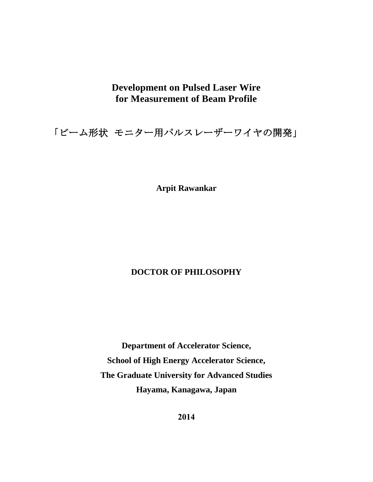## **Development on Pulsed Laser Wire for Measurement of Beam Profile**

## 「ビーム形状 モニター用パルスレーザーワイヤの開発」

**Arpit Rawankar**

## **DOCTOR OF PHILOSOPHY**

**Department of Accelerator Science, School of High Energy Accelerator Science, The Graduate University for Advanced Studies Hayama, Kanagawa, Japan**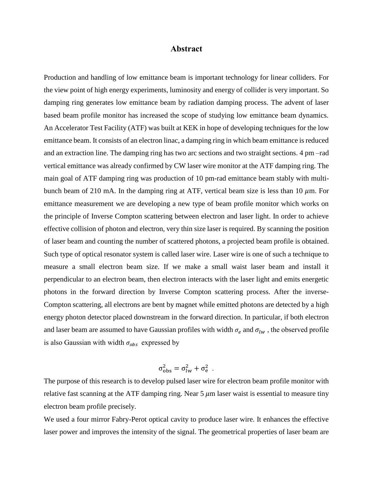## **Abstract**

Production and handling of low emittance beam is important technology for linear colliders. For the view point of high energy experiments, luminosity and energy of collider is very important. So damping ring generates low emittance beam by radiation damping process. The advent of laser based beam profile monitor has increased the scope of studying low emittance beam dynamics. An Accelerator Test Facility (ATF) was built at KEK in hope of developing techniques for the low emittance beam. It consists of an electron linac, a damping ring in which beam emittance is reduced and an extraction line. The damping ring has two arc sections and two straight sections. 4 pm –rad vertical emittance was already confirmed by CW laser wire monitor at the ATF damping ring. The main goal of ATF damping ring was production of 10 pm-rad emittance beam stably with multibunch beam of 210 mA. In the damping ring at ATF, vertical beam size is less than 10  $\mu$ m. For emittance measurement we are developing a new type of beam profile monitor which works on the principle of Inverse Compton scattering between electron and laser light. In order to achieve effective collision of photon and electron, very thin size laser is required. By scanning the position of laser beam and counting the number of scattered photons, a projected beam profile is obtained. Such type of optical resonator system is called laser wire. Laser wire is one of such a technique to measure a small electron beam size. If we make a small waist laser beam and install it perpendicular to an electron beam, then electron interacts with the laser light and emits energetic photons in the forward direction by Inverse Compton scattering process. After the inverse-Compton scattering, all electrons are bent by magnet while emitted photons are detected by a high energy photon detector placed downstream in the forward direction. In particular, if both electron and laser beam are assumed to have Gaussian profiles with width  $\sigma_e$  and  $\sigma_{lw}$ , the observed profile is also Gaussian with width  $\sigma_{obs}$  expressed by

$$
\sigma_{obs}^2 = \sigma_{lw}^2 + \sigma_e^2 \ .
$$

The purpose of this research is to develop pulsed laser wire for electron beam profile monitor with relative fast scanning at the ATF damping ring. Near  $5 \mu m$  laser waist is essential to measure tiny electron beam profile precisely.

We used a four mirror Fabry-Perot optical cavity to produce laser wire. It enhances the effective laser power and improves the intensity of the signal. The geometrical properties of laser beam are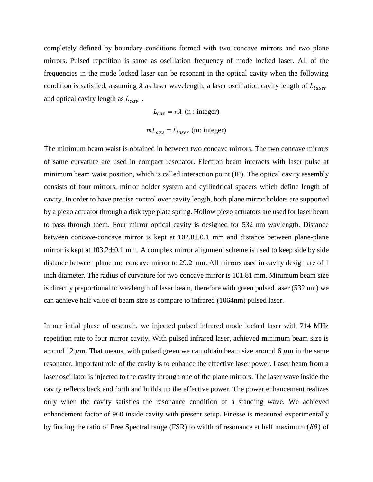completely defined by boundary conditions formed with two concave mirrors and two plane mirrors. Pulsed repetition is same as oscillation frequency of mode locked laser. All of the frequencies in the mode locked laser can be resonant in the optical cavity when the following condition is satisfied, assuming  $\lambda$  as laser wavelength, a laser oscillation cavity length of  $L_{laser}$ and optical cavity length as  $L_{cav}$ .

$$
L_{cav} = n\lambda \, \text{(n : integer)}
$$

$$
mL_{cav} = L_{laser} \text{ (m: integer)}
$$

The minimum beam waist is obtained in between two concave mirrors. The two concave mirrors of same curvature are used in compact resonator. Electron beam interacts with laser pulse at minimum beam waist position, which is called interaction point (IP). The optical cavity assembly consists of four mirrors, mirror holder system and cyilindrical spacers which define length of cavity. In order to have precise control over cavity length, both plane mirror holders are supported by a piezo actuator through a disk type plate spring. Hollow piezo actuators are used for laser beam to pass through them. Four mirror optical cavity is designed for 532 nm wavlength. Distance between concave-concave mirror is kept at  $102.8 \pm 0.1$  mm and distance between plane-plane mirror is kept at  $103.2 \pm 0.1$  mm. A complex mirror alignment scheme is used to keep side by side distance between plane and concave mirror to 29.2 mm. All mirrors used in cavity design are of 1 inch diameter. The radius of curvature for two concave mirror is 101.81 mm. Minimum beam size is directly praportional to wavlength of laser beam, therefore with green pulsed laser (532 nm) we can achieve half value of beam size as compare to infrared (1064nm) pulsed laser.

In our intial phase of research, we injected pulsed infrared mode locked laser with 714 MHz repetition rate to four mirror cavity. With pulsed infrared laser, achieved minimum beam size is around 12  $\mu$ m. That means, with pulsed green we can obtain beam size around 6  $\mu$ m in the same resonator. Important role of the cavity is to enhance the effective laser power. Laser beam from a laser oscillator is injected to the cavity through one of the plane mirrors. The laser wave inside the cavity reflects back and forth and builds up the effective power. The power enhancement realizes only when the cavity satisfies the resonance condition of a standing wave. We achieved enhancement factor of 960 inside cavity with present setup. Finesse is measured experimentally by finding the ratio of Free Spectral range (FSR) to width of resonance at half maximum ( $\delta\theta$ ) of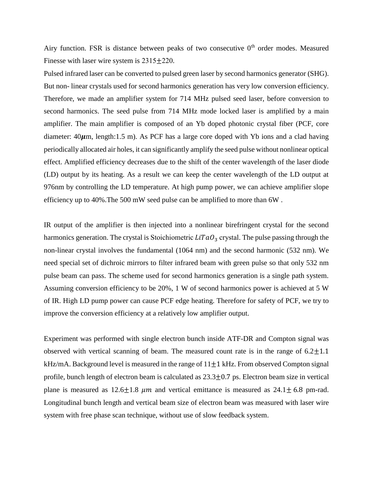Airy function. FSR is distance between peaks of two consecutive  $0<sup>th</sup>$  order modes. Measured Finesse with laser wire system is  $2315+220$ .

Pulsed infrared laser can be converted to pulsed green laser by second harmonics generator (SHG). But non- linear crystals used for second harmonics generation has very low conversion efficiency. Therefore, we made an amplifier system for 714 MHz pulsed seed laser, before conversion to second harmonics. The seed pulse from 714 MHz mode locked laser is amplified by a main amplifier. The main amplifier is composed of an Yb doped photonic crystal fiber (PCF, core diameter:  $40\mu$ m, length:1.5 m). As PCF has a large core doped with Yb ions and a clad having periodically allocated air holes, it can significantly amplify the seed pulse without nonlinear optical effect. Amplified efficiency decreases due to the shift of the center wavelength of the laser diode (LD) output by its heating. As a result we can keep the center wavelength of the LD output at 976nm by controlling the LD temperature. At high pump power, we can achieve amplifier slope efficiency up to 40%.The 500 mW seed pulse can be amplified to more than 6W .

IR output of the amplifier is then injected into a nonlinear birefringent crystal for the second harmonics generation. The crystal is Stoichiometric  $LiTaO<sub>3</sub>$  crystal. The pulse passing through the non-linear crystal involves the fundamental (1064 nm) and the second harmonic (532 nm). We need special set of dichroic mirrors to filter infrared beam with green pulse so that only 532 nm pulse beam can pass. The scheme used for second harmonics generation is a single path system. Assuming conversion efficiency to be 20%, 1 W of second harmonics power is achieved at 5 W of IR. High LD pump power can cause PCF edge heating. Therefore for safety of PCF, we try to improve the conversion efficiency at a relatively low amplifier output.

Experiment was performed with single electron bunch inside ATF-DR and Compton signal was observed with vertical scanning of beam. The measured count rate is in the range of  $6.2 \pm 1.1$ kHz/mA. Background level is measured in the range of  $11 \pm 1$  kHz. From observed Compton signal profile, bunch length of electron beam is calculated as  $23.3\pm0.7$  ps. Electron beam size in vertical plane is measured as  $12.6 \pm 1.8$   $\mu$ m and vertical emittance is measured as  $24.1 \pm 6.8$  pm-rad. Longitudinal bunch length and vertical beam size of electron beam was measured with laser wire system with free phase scan technique, without use of slow feedback system.